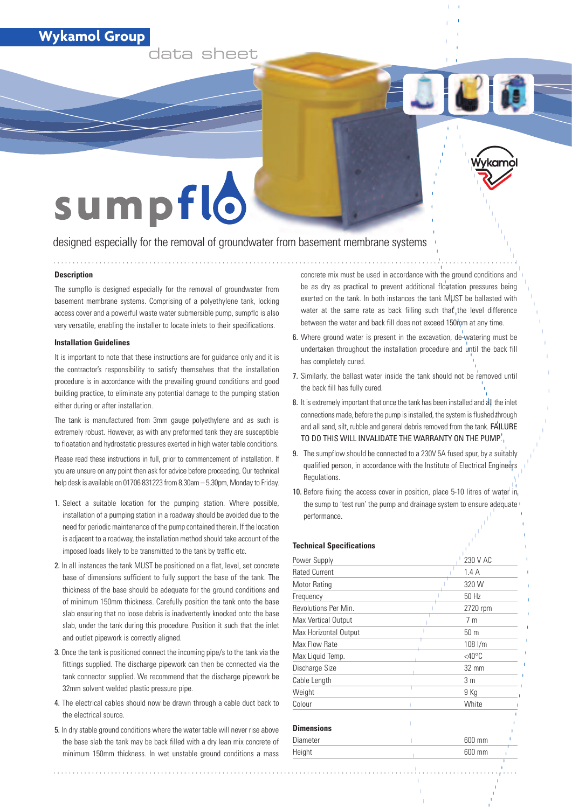### **Wykamol Group**

**data sheet**

# sumpflo

designed especially for the removal of groundwater from basement membrane systems

#### **Description**

The sumpflo is designed especially for the removal of groundwater from basement membrane systems. Comprising of a polyethylene tank, locking access cover and a powerful waste water submersible pump, sumpflo is also very versatile, enabling the installer to locate inlets to their specifications.

#### **Installation Guidelines**

It is important to note that these instructions are for guidance only and it is the contractor's responsibility to satisfy themselves that the installation procedure is in accordance with the prevailing ground conditions and good building practice, to eliminate any potential damage to the pumping station either during or after installation.

The tank is manufactured from 3mm gauge polyethylene and as such is extremely robust. However, as with any preformed tank they are susceptible to floatation and hydrostatic pressures exerted in high water table conditions.

Please read these instructions in full, prior to commencement of installation. If you are unsure on any point then ask for advice before proceeding. Our technical help desk is available on 01706 831223 from 8.30am – 5.30pm, Monday to Friday.

- 1. Select a suitable location for the pumping station. Where possible, installation of a pumping station in a roadway should be avoided due to the need for periodic maintenance of the pump contained therein. If the location is adjacent to a roadway, the installation method should take account of the imposed loads likely to be transmitted to the tank by traffic etc.
- 2. In all instances the tank MUST be positioned on a flat, level, set concrete base of dimensions sufficient to fully support the base of the tank. The thickness of the base should be adequate for the ground conditions and of minimum 150mm thickness. Carefully position the tank onto the base slab ensuring that no loose debris is inadvertently knocked onto the base slab, under the tank during this procedure. Position it such that the inlet and outlet pipework is correctly aligned.
- 3. Once the tank is positioned connect the incoming pipe/s to the tank via the fittings supplied. The discharge pipework can then be connected via the tank connector supplied. We recommend that the discharge pipework be 32mm solvent welded plastic pressure pipe.
- 4. The electrical cables should now be drawn through a cable duct back to the electrical source.
- 5. In dry stable ground conditions where the water table will never rise above the base slab the tank may be back filled with a dry lean mix concrete of minimum 150mm thickness. In wet unstable ground conditions a mass

concrete mix must be used in accordance with the ground conditions and be as dry as practical to prevent additional floatation pressures being exerted on the tank. In both instances the tank MUST be ballasted with water at the same rate as back filling such that the level difference between the water and back fill does not exceed 150mm at any time.

 $\Box$ 

- 6. Where ground water is present in the excavation, de-watering must be undertaken throughout the installation procedure and until the back fill has completely cured.
- 7. Similarly, the ballast water inside the tank should not be removed until the back fill has fully cured.
- 8. It is extremely important that once the tank has been installed and all the inlet connections made, before the pump is installed, the system is flushed through and all sand, silt, rubble and general debris removed from the tank. FAILURE TO DO THIS WILL INVALIDATE THE WARRANTY ON THE PUMP.
- 9. The sumpflow should be connected to a 230V 5A fused spur, by a suitably qualified person, in accordance with the Institute of Electrical Engineers Regulations.
- 10. Before fixing the access cover in position, place 5-10 litres of water in the sump to 'test run' the pump and drainage system to ensure adequate performance.

#### **Technical Specifications**

| Power Supply          | 230 V AC            |  |
|-----------------------|---------------------|--|
| <b>Rated Current</b>  | 1.4A                |  |
| Motor Rating          | 320 W               |  |
| Frequency             | 50 Hz               |  |
| Revolutions Per Min.  | 2720 rpm            |  |
| Max Vertical Output   | 7 <sub>m</sub>      |  |
| Max Horizontal Output | 50 <sub>m</sub>     |  |
| Max Flow Rate         | $108$ I/m           |  |
| Max Liquid Temp.      | $<$ 40 $^{\circ}$ C |  |
| Discharge Size        | 32 mm               |  |
| Cable Length          | 3 <sub>m</sub>      |  |
| Weight                | 9 Kg                |  |
| Colour                | White               |  |
| <b>Dimensions</b>     |                     |  |
| Diameter              | 600 mm              |  |
| Height                | 600 mm              |  |